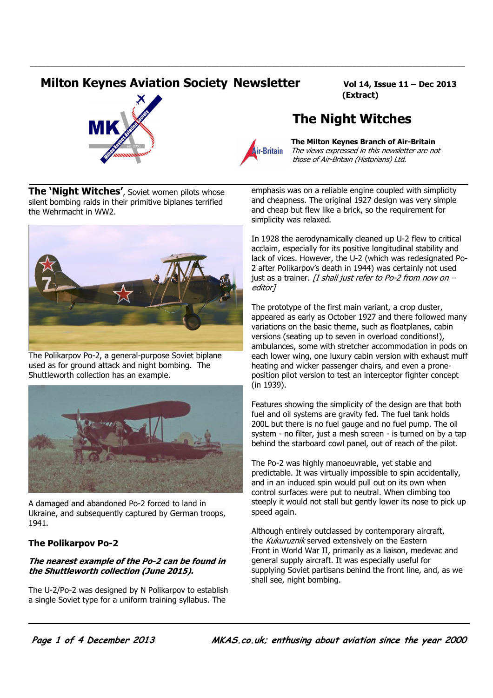# **Milton Keynes Aviation Society Newsletter Vol 14, Issue 11 - Dec 2013**

(Extract)





\_\_\_\_\_\_\_\_\_\_\_\_\_\_\_\_\_\_\_\_\_\_\_\_\_\_\_\_\_\_\_\_\_\_\_\_\_\_\_\_\_\_\_\_\_\_\_\_\_\_\_\_\_\_\_\_\_\_\_\_\_\_\_\_\_\_\_\_\_\_\_\_\_\_\_\_\_\_\_\_\_\_\_\_\_\_\_\_\_\_\_\_\_\_\_\_\_\_\_\_\_\_\_\_\_\_\_\_

*i*<br>**Air-Britain** *The views expressed in this newsletter are no*  The views expressed in this newsletter are not those of Air-Britain (Historians) Ltd.

The Night Witches

The 'Night Witches', Soviet women pilots whose silent bombing raids in their primitive biplanes terrified the Wehrmacht in WW2.



The Polikarpov Po-2, a general-purpose Soviet biplane used as for ground attack and night bombing. The Shuttleworth collection has an example.



A damaged and abandoned Po-2 forced to land in Ukraine, and subsequently captured by German troops, 1941.

## The Polikarpov Po-2

#### The nearest example of the Po-2 can be found in the Shuttleworth collection (June 2015).

The U-2/Po-2 was designed by N Polikarpov to establish a single Soviet type for a uniform training syllabus. The

emphasis was on a reliable engine coupled with simplicity and cheapness. The original 1927 design was very simple and cheap but flew like a brick, so the requirement for simplicity was relaxed.

In 1928 the aerodynamically cleaned up U-2 flew to critical acclaim, especially for its positive longitudinal stability and lack of vices. However, the U-2 (which was redesignated Po-2 after Polikarpov's death in 1944) was certainly not used just as a trainer. *[I shall just refer to Po-2 from now on –* editor]

The prototype of the first main variant, a crop duster, appeared as early as October 1927 and there followed many variations on the basic theme, such as floatplanes, cabin versions (seating up to seven in overload conditions!), ambulances, some with stretcher accommodation in pods on each lower wing, one luxury cabin version with exhaust muff heating and wicker passenger chairs, and even a proneposition pilot version to test an interceptor fighter concept (in 1939).

Features showing the simplicity of the design are that both fuel and oil systems are gravity fed. The fuel tank holds 200L but there is no fuel gauge and no fuel pump. The oil system - no filter, just a mesh screen - is turned on by a tap behind the starboard cowl panel, out of reach of the pilot.

The Po-2 was highly manoeuvrable, yet stable and predictable. It was virtually impossible to spin accidentally, and in an induced spin would pull out on its own when control surfaces were put to neutral. When climbing too steeply it would not stall but gently lower its nose to pick up speed again.

Although entirely outclassed by contemporary aircraft, the Kukuruznik served extensively on the Eastern Front in World War II, primarily as a liaison, medevac and general supply aircraft. It was especially useful for supplying Soviet partisans behind the front line, and, as we shall see, night bombing.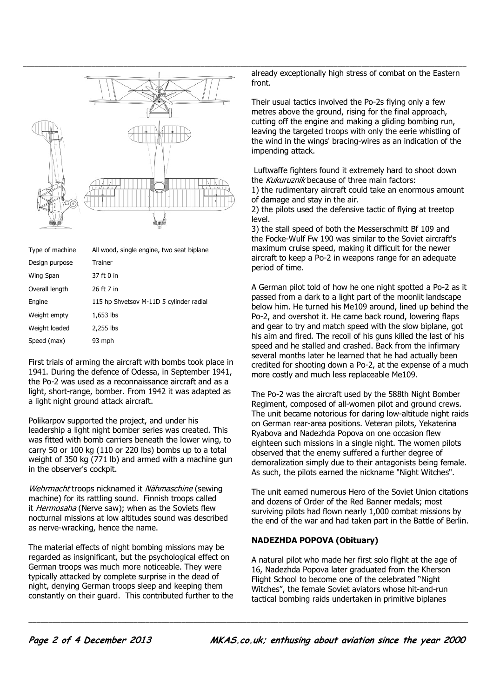

| Type of machine | All wood, single engine, two seat biplane |
|-----------------|-------------------------------------------|
| Design purpose  | Trainer                                   |
| Wing Span       | 37 ft 0 in                                |
| Overall length  | 26 ft 7 in                                |
| Engine          | 115 hp Shvetsov M-11D 5 cylinder radial   |
| Weight empty    | $1,653$ lbs                               |
| Weight loaded   | 2,255 lbs                                 |
| Speed (max)     | 93 mph                                    |

First trials of arming the aircraft with bombs took place in 1941. During the defence of Odessa, in September 1941, the Po-2 was used as a reconnaissance aircraft and as a light, short-range, bomber. From 1942 it was adapted as a light night ground attack aircraft.

Polikarpov supported the project, and under his leadership a light night bomber series was created. This was fitted with bomb carriers beneath the lower wing, to carry 50 or 100 kg (110 or 220 lbs) bombs up to a total weight of 350 kg (771 lb) and armed with a machine gun in the observer's cockpit.

Wehrmacht troops nicknamed it Nähmaschine (sewing machine) for its rattling sound. Finnish troops called it Hermosaha (Nerve saw); when as the Soviets flew nocturnal missions at low altitudes sound was described as nerve-wracking, hence the name.

The material effects of night bombing missions may be regarded as insignificant, but the psychological effect on German troops was much more noticeable. They were typically attacked by complete surprise in the dead of night, denying German troops sleep and keeping them constantly on their guard. This contributed further to the front.

Their usual tactics involved the Po-2s flying only a few metres above the ground, rising for the final approach, cutting off the engine and making a gliding bombing run, leaving the targeted troops with only the eerie whistling of the wind in the wings' bracing-wires as an indication of the impending attack.

 Luftwaffe fighters found it extremely hard to shoot down the Kukuruznik because of three main factors:

1) the rudimentary aircraft could take an enormous amount of damage and stay in the air.

2) the pilots used the defensive tactic of flying at treetop level.

3) the stall speed of both the Messerschmitt Bf 109 and the Focke-Wulf Fw 190 was similar to the Soviet aircraft's maximum cruise speed, making it difficult for the newer aircraft to keep a Po-2 in weapons range for an adequate period of time.

A German pilot told of how he one night spotted a Po-2 as it passed from a dark to a light part of the moonlit landscape below him. He turned his Me109 around, lined up behind the Po-2, and overshot it. He came back round, lowering flaps and gear to try and match speed with the slow biplane, got his aim and fired. The recoil of his guns killed the last of his speed and he stalled and crashed. Back from the infirmary several months later he learned that he had actually been credited for shooting down a Po-2, at the expense of a much more costly and much less replaceable Me109.

The Po-2 was the aircraft used by the 588th Night Bomber Regiment, composed of all-women pilot and ground crews. The unit became notorious for daring low-altitude night raids on German rear-area positions. Veteran pilots, Yekaterina Ryabova and Nadezhda Popova on one occasion flew eighteen such missions in a single night. The women pilots observed that the enemy suffered a further degree of demoralization simply due to their antagonists being female. As such, the pilots earned the nickname "Night Witches".

The unit earned numerous Hero of the Soviet Union citations and dozens of Order of the Red Banner medals; most surviving pilots had flown nearly 1,000 combat missions by the end of the war and had taken part in the Battle of Berlin.

#### NADEZHDA POPOVA (Obituary)

\_\_\_\_\_\_\_\_\_\_\_\_\_\_\_\_\_\_\_\_\_\_\_\_\_\_\_\_\_\_\_\_\_\_\_\_\_\_\_\_\_\_\_\_\_\_\_\_\_\_\_\_\_\_\_\_\_\_\_\_\_\_\_\_\_\_\_\_\_\_\_\_\_\_\_\_\_\_\_\_\_\_\_\_\_\_\_\_\_\_\_\_\_\_\_\_\_\_\_\_\_\_\_\_\_\_\_\_\_

A natural pilot who made her first solo flight at the age of 16, Nadezhda Popova later graduated from the Kherson Flight School to become one of the celebrated "Night Witches", the female Soviet aviators whose hit-and-run tactical bombing raids undertaken in primitive biplanes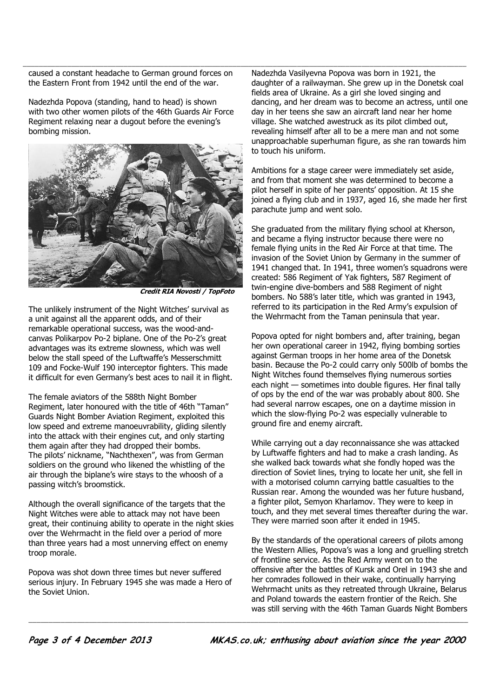the Eastern Front from 1942 until the end of the war.

Nadezhda Popova (standing, hand to head) is shown with two other women pilots of the 46th Guards Air Force Regiment relaxing near a dugout before the evening's bombing mission.



Credit RIA Novosti / TopFoto

The unlikely instrument of the Night Witches' survival as a unit against all the apparent odds, and of their remarkable operational success, was the wood-andcanvas Polikarpov Po-2 biplane. One of the Po-2's great advantages was its extreme slowness, which was well below the stall speed of the Luftwaffe's Messerschmitt 109 and Focke-Wulf 190 interceptor fighters. This made it difficult for even Germany's best aces to nail it in flight.

The female aviators of the 588th Night Bomber Regiment, later honoured with the title of 46th "Taman" Guards Night Bomber Aviation Regiment, exploited this low speed and extreme manoeuvrability, gliding silently into the attack with their engines cut, and only starting them again after they had dropped their bombs. The pilots' nickname, "Nachthexen", was from German soldiers on the ground who likened the whistling of the air through the biplane's wire stays to the whoosh of a passing witch's broomstick.

Although the overall significance of the targets that the Night Witches were able to attack may not have been great, their continuing ability to operate in the night skies over the Wehrmacht in the field over a period of more than three years had a most unnerving effect on enemy troop morale.

Popova was shot down three times but never suffered serious injury. In February 1945 she was made a Hero of the Soviet Union.

Laused a constant headache to German ground forces on a Nadezhda Vasilyevna Popova was born in 1921, the Nadezhda Vasilyevna Popova was born in 1921, the daughter of a railwayman. She grew up in the Donetsk coal fields area of Ukraine. As a girl she loved singing and dancing, and her dream was to become an actress, until one day in her teens she saw an aircraft land near her home village. She watched awestruck as its pilot climbed out, revealing himself after all to be a mere man and not some unapproachable superhuman figure, as she ran towards him to touch his uniform.

> Ambitions for a stage career were immediately set aside, and from that moment she was determined to become a pilot herself in spite of her parents' opposition. At 15 she joined a flying club and in 1937, aged 16, she made her first parachute jump and went solo.

> She graduated from the military flying school at Kherson, and became a flying instructor because there were no female flying units in the Red Air Force at that time. The invasion of the Soviet Union by Germany in the summer of 1941 changed that. In 1941, three women's squadrons were created: 586 Regiment of Yak fighters, 587 Regiment of twin-engine dive-bombers and 588 Regiment of night bombers. No 588's later title, which was granted in 1943, referred to its participation in the Red Army's expulsion of the Wehrmacht from the Taman peninsula that year.

> Popova opted for night bombers and, after training, began her own operational career in 1942, flying bombing sorties against German troops in her home area of the Donetsk basin. Because the Po-2 could carry only 500lb of bombs the Night Witches found themselves flying numerous sorties each night — sometimes into double figures. Her final tally of ops by the end of the war was probably about 800. She had several narrow escapes, one on a daytime mission in which the slow-flying Po-2 was especially vulnerable to ground fire and enemy aircraft.

> While carrying out a day reconnaissance she was attacked by Luftwaffe fighters and had to make a crash landing. As she walked back towards what she fondly hoped was the direction of Soviet lines, trying to locate her unit, she fell in with a motorised column carrying battle casualties to the Russian rear. Among the wounded was her future husband, a fighter pilot, Semyon Kharlamov. They were to keep in touch, and they met several times thereafter during the war. They were married soon after it ended in 1945.

> By the standards of the operational careers of pilots among the Western Allies, Popova's was a long and gruelling stretch of frontline service. As the Red Army went on to the offensive after the battles of Kursk and Orel in 1943 she and her comrades followed in their wake, continually harrying Wehrmacht units as they retreated through Ukraine, Belarus and Poland towards the eastern frontier of the Reich. She was still serving with the 46th Taman Guards Night Bombers

\_\_\_\_\_\_\_\_\_\_\_\_\_\_\_\_\_\_\_\_\_\_\_\_\_\_\_\_\_\_\_\_\_\_\_\_\_\_\_\_\_\_\_\_\_\_\_\_\_\_\_\_\_\_\_\_\_\_\_\_\_\_\_\_\_\_\_\_\_\_\_\_\_\_\_\_\_\_\_\_\_\_\_\_\_\_\_\_\_\_\_\_\_\_\_\_\_\_\_\_\_\_\_\_\_\_\_\_\_